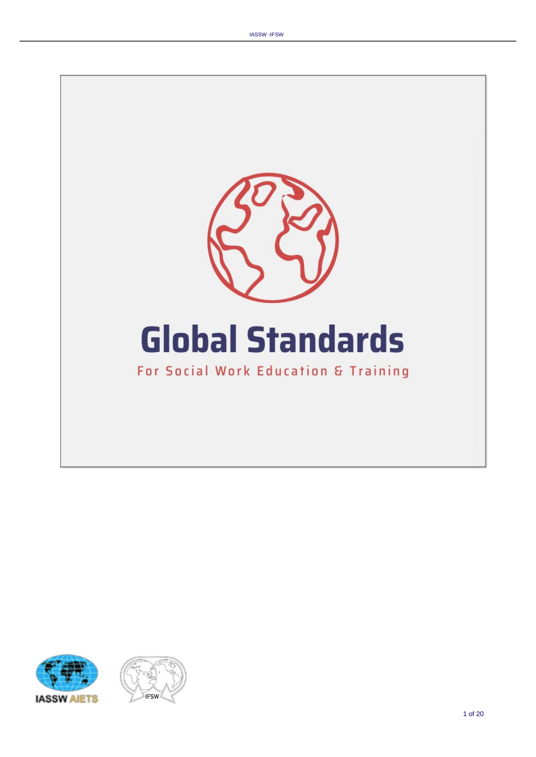



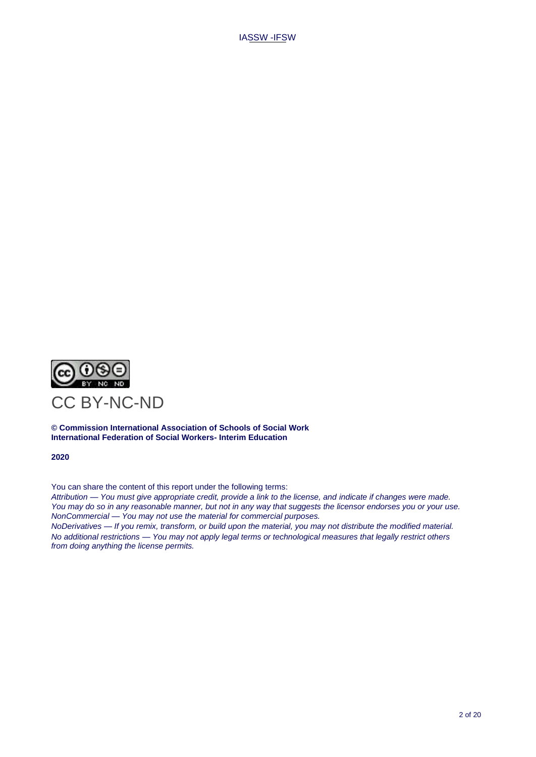

**© Commission International Association of Schools of Social Work International Federation of Social Workers- Interim Education**

**2020**

You can share the content of this report under the following terms:

*Attribution — You must give appropriate credit, provide a link to the license, and indicate if changes were made. You may do so in any reasonable manner, but not in any way that suggests the licensor endorses you or your use. NonCommercial — You may not use the material for commercial purposes.*

*NoDerivatives — If you remix, transform, or build upon the material, you may not distribute the modified material. No additional restrictions — You may not apply legal terms or technological measures that legally restrict others from doing anything the license permits.*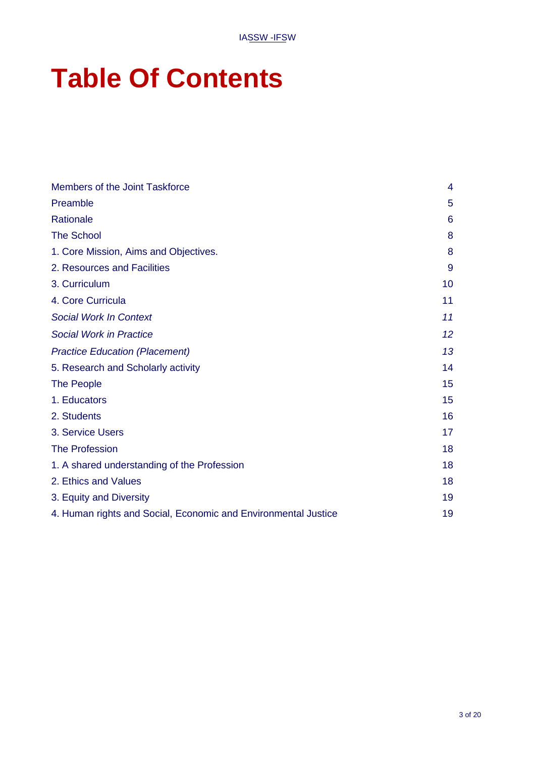# **Table Of Contents**

| Members of the Joint Taskforce                                 | 4  |
|----------------------------------------------------------------|----|
| Preamble                                                       | 5  |
| Rationale                                                      | 6  |
| <b>The School</b>                                              | 8  |
| 1. Core Mission, Aims and Objectives.                          | 8  |
| 2. Resources and Facilities                                    | 9  |
| 3. Curriculum                                                  | 10 |
| 4. Core Curricula                                              | 11 |
| <b>Social Work In Context</b>                                  | 11 |
| <b>Social Work in Practice</b>                                 | 12 |
| <b>Practice Education (Placement)</b>                          | 13 |
| 5. Research and Scholarly activity                             | 14 |
| <b>The People</b>                                              | 15 |
| 1. Educators                                                   | 15 |
| 2. Students                                                    | 16 |
| 3. Service Users                                               | 17 |
| <b>The Profession</b>                                          | 18 |
| 1. A shared understanding of the Profession                    | 18 |
| 2. Ethics and Values                                           | 18 |
| 3. Equity and Diversity                                        | 19 |
| 4. Human rights and Social, Economic and Environmental Justice | 19 |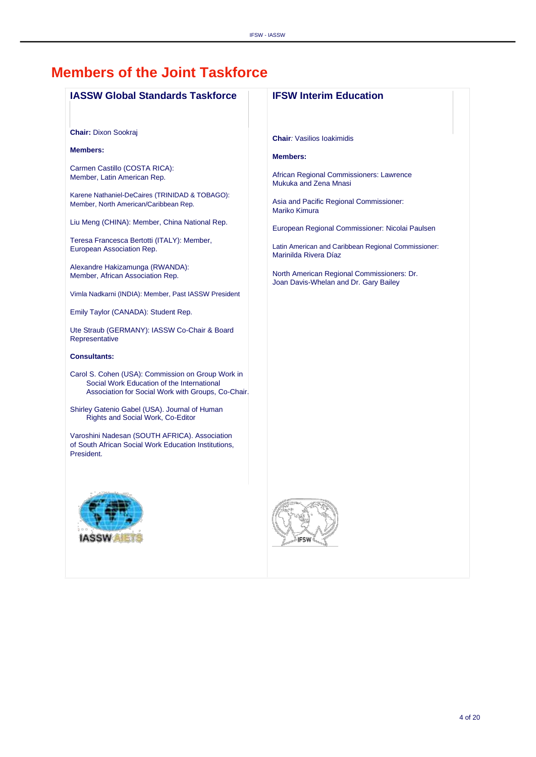### <span id="page-3-0"></span>**Members of the Joint Taskforce**

| <b>IASSW Global Standards Taskforce</b>                                                                                                               | <b>IFSW Interim Education</b>                                                       |
|-------------------------------------------------------------------------------------------------------------------------------------------------------|-------------------------------------------------------------------------------------|
|                                                                                                                                                       |                                                                                     |
| <b>Chair: Dixon Sookraj</b>                                                                                                                           | <b>Chair:</b> Vasilios Ioakimidis                                                   |
| <b>Members:</b>                                                                                                                                       | <b>Members:</b>                                                                     |
| Carmen Castillo (COSTA RICA):<br>Member, Latin American Rep.                                                                                          | African Regional Commissioners: Lawrence<br>Mukuka and Zena Mnasi                   |
| Karene Nathaniel-DeCaires (TRINIDAD & TOBAGO):<br>Member, North American/Caribbean Rep.                                                               | Asia and Pacific Regional Commissioner:<br><b>Mariko Kimura</b>                     |
| Liu Meng (CHINA): Member, China National Rep.                                                                                                         | European Regional Commissioner: Nicolai Paulsen                                     |
| Teresa Francesca Bertotti (ITALY): Member,<br>European Association Rep.                                                                               | Latin American and Caribbean Regional Commissioner:<br>Marinilda Rivera Díaz        |
| Alexandre Hakizamunga (RWANDA):<br>Member, African Association Rep.                                                                                   | North American Regional Commissioners: Dr.<br>Joan Davis-Whelan and Dr. Gary Bailey |
| Vimla Nadkarni (INDIA): Member, Past IASSW President                                                                                                  |                                                                                     |
| Emily Taylor (CANADA): Student Rep.                                                                                                                   |                                                                                     |
| Ute Straub (GERMANY): IASSW Co-Chair & Board<br>Representative                                                                                        |                                                                                     |
| <b>Consultants:</b>                                                                                                                                   |                                                                                     |
| Carol S. Cohen (USA): Commission on Group Work in<br>Social Work Education of the International<br>Association for Social Work with Groups, Co-Chair. |                                                                                     |
| Shirley Gatenio Gabel (USA). Journal of Human<br>Rights and Social Work, Co-Editor                                                                    |                                                                                     |
| Varoshini Nadesan (SOUTH AFRICA). Association<br>of South African Social Work Education Institutions,<br>President.                                   |                                                                                     |
|                                                                                                                                                       |                                                                                     |
|                                                                                                                                                       |                                                                                     |
| <b>IASSW AIET</b>                                                                                                                                     | <b>IFSW</b>                                                                         |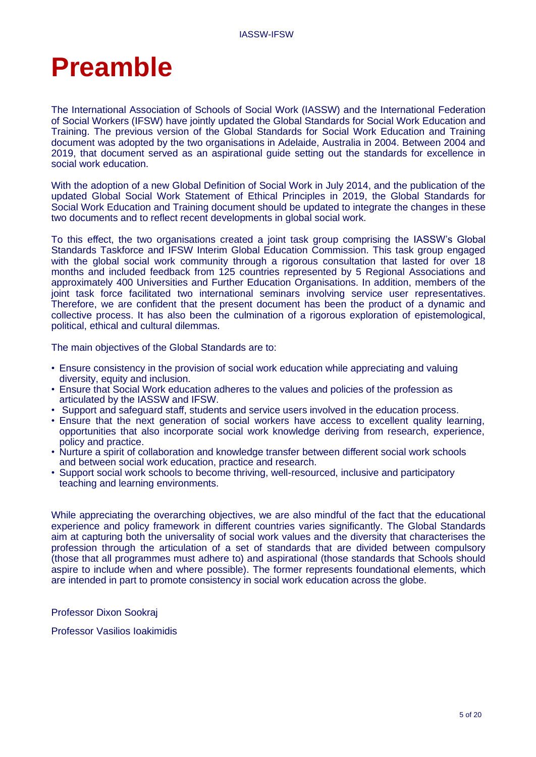# <span id="page-4-0"></span>**Preamble**

The International Association of Schools of Social Work (IASSW) and the International Federation of Social Workers (IFSW) have jointly updated the Global Standards for Social Work Education and Training. The previous version of the Global Standards for Social Work Education and Training document was adopted by the two organisations in Adelaide, Australia in 2004. Between 2004 and 2019, that document served as an aspirational guide setting out the standards for excellence in social work education.

With the adoption of a new Global Definition of Social Work in July 2014, and the publication of the updated Global Social Work Statement of Ethical Principles in 2019, the Global Standards for Social Work Education and Training document should be updated to integrate the changes in these two documents and to reflect recent developments in global social work.

To this effect, the two organisations created a joint task group comprising the IASSW's Global Standards Taskforce and IFSW Interim Global Education Commission. This task group engaged with the global social work community through a rigorous consultation that lasted for over 18 months and included feedback from 125 countries represented by 5 Regional Associations and approximately 400 Universities and Further Education Organisations. In addition, members of the joint task force facilitated two international seminars involving service user representatives. Therefore, we are confident that the present document has been the product of a dynamic and collective process. It has also been the culmination of a rigorous exploration of epistemological, political, ethical and cultural dilemmas.

The main objectives of the Global Standards are to:

- Ensure consistency in the provision of social work education while appreciating and valuing diversity, equity and inclusion.
- Ensure that Social Work education adheres to the values and policies of the profession as articulated by the IASSW and IFSW.
- Support and safeguard staff, students and service users involved in the education process.
- Ensure that the next generation of social workers have access to excellent quality learning, opportunities that also incorporate social work knowledge deriving from research, experience, policy and practice.
- Nurture a spirit of collaboration and knowledge transfer between different social work schools and between social work education, practice and research.
- Support social work schools to become thriving, well-resourced, inclusive and participatory teaching and learning environments.

While appreciating the overarching objectives, we are also mindful of the fact that the educational experience and policy framework in different countries varies significantly. The Global Standards aim at capturing both the universality of social work values and the diversity that characterises the profession through the articulation of a set of standards that are divided between compulsory (those that all programmes must adhere to) and aspirational (those standards that Schools should aspire to include when and where possible). The former represents foundational elements, which are intended in part to promote consistency in social work education across the globe.

Professor Dixon Sookraj

Professor Vasilios Ioakimidis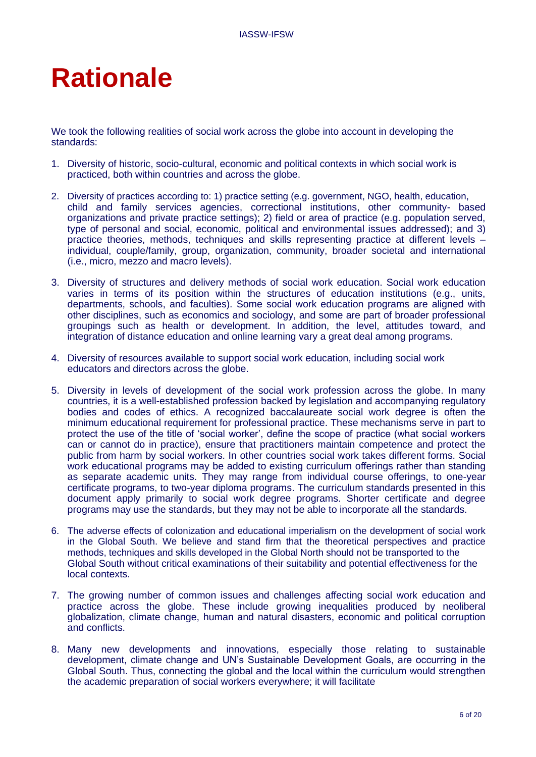# <span id="page-5-0"></span>**Rationale**

We took the following realities of social work across the globe into account in developing the standards:

- 1. Diversity of historic, socio-cultural, economic and political contexts in which social work is practiced, both within countries and across the globe.
- 2. Diversity of practices according to: 1) practice setting (e.g. government, NGO, health, education, child and family services agencies, correctional institutions, other community- based organizations and private practice settings); 2) field or area of practice (e.g. population served, type of personal and social, economic, political and environmental issues addressed); and 3) practice theories, methods, techniques and skills representing practice at different levels – individual, couple/family, group, organization, community, broader societal and international (i.e., micro, mezzo and macro levels).
- 3. Diversity of structures and delivery methods of social work education. Social work education varies in terms of its position within the structures of education institutions (e.g., units, departments, schools, and faculties). Some social work education programs are aligned with other disciplines, such as economics and sociology, and some are part of broader professional groupings such as health or development. In addition, the level, attitudes toward, and integration of distance education and online learning vary a great deal among programs.
- 4. Diversity of resources available to support social work education, including social work educators and directors across the globe.
- 5. Diversity in levels of development of the social work profession across the globe. In many countries, it is a well-established profession backed by legislation and accompanying regulatory bodies and codes of ethics. A recognized baccalaureate social work degree is often the minimum educational requirement for professional practice. These mechanisms serve in part to protect the use of the title of 'social worker', define the scope of practice (what social workers can or cannot do in practice), ensure that practitioners maintain competence and protect the public from harm by social workers. In other countries social work takes different forms. Social work educational programs may be added to existing curriculum offerings rather than standing as separate academic units. They may range from individual course offerings, to one-year certificate programs, to two-year diploma programs. The curriculum standards presented in this document apply primarily to social work degree programs. Shorter certificate and degree programs may use the standards, but they may not be able to incorporate all the standards.
- 6. The adverse effects of colonization and educational imperialism on the development of social work in the Global South. We believe and stand firm that the theoretical perspectives and practice methods, techniques and skills developed in the Global North should not be transported to the Global South without critical examinations of their suitability and potential effectiveness for the local contexts.
- 7. The growing number of common issues and challenges affecting social work education and practice across the globe. These include growing inequalities produced by neoliberal globalization, climate change, human and natural disasters, economic and political corruption and conflicts.
- 8. Many new developments and innovations, especially those relating to sustainable development, climate change and UN's Sustainable Development Goals, are occurring in the Global South. Thus, connecting the global and the local within the curriculum would strengthen the academic preparation of social workers everywhere; it will facilitate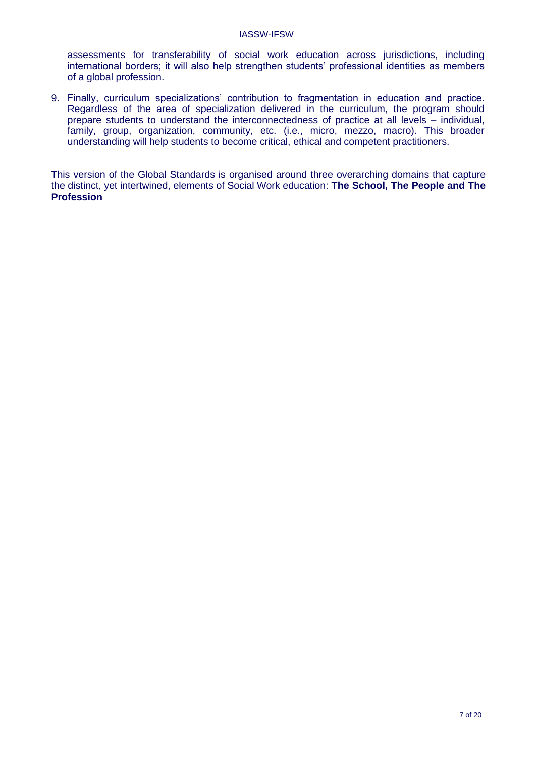assessments for transferability of social work education across jurisdictions, including international borders; it will also help strengthen students' professional identities as members of a global profession.

9. Finally, curriculum specializations' contribution to fragmentation in education and practice. Regardless of the area of specialization delivered in the curriculum, the program should prepare students to understand the interconnectedness of practice at all levels – individual, family, group, organization, community, etc. (i.e., micro, mezzo, macro). This broader understanding will help students to become critical, ethical and competent practitioners.

This version of the Global Standards is organised around three overarching domains that capture the distinct, yet intertwined, elements of Social Work education: **The School, The People and The Profession**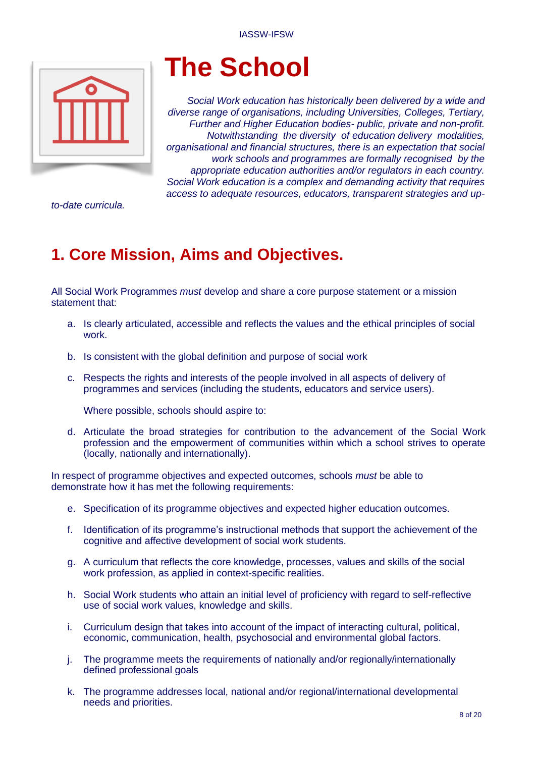<span id="page-7-0"></span>

# **The School**

*Social Work education has historically been delivered by a wide and diverse range of organisations, including Universities, Colleges, Tertiary, Further and Higher Education bodies- public, private and non-profit. Notwithstanding the diversity of education delivery modalities, organisational and financial structures, there is an expectation that social work schools and programmes are formally recognised by the appropriate education authorities and/or regulators in each country. Social Work education is a complex and demanding activity that requires access to adequate resources, educators, transparent strategies and up-*

*to-date curricula.*

## **1. Core Mission, Aims and Objectives.**

All Social Work Programmes *must* develop and share a core purpose statement or a mission statement that:

- a. Is clearly articulated, accessible and reflects the values and the ethical principles of social work.
- b. Is consistent with the global definition and purpose of social work
- c. Respects the rights and interests of the people involved in all aspects of delivery of programmes and services (including the students, educators and service users).

Where possible, schools should aspire to:

d. Articulate the broad strategies for contribution to the advancement of the Social Work profession and the empowerment of communities within which a school strives to operate (locally, nationally and internationally).

In respect of programme objectives and expected outcomes, schools *must* be able to demonstrate how it has met the following requirements:

- e. Specification of its programme objectives and expected higher education outcomes.
- f. Identification of its programme's instructional methods that support the achievement of the cognitive and affective development of social work students.
- g. A curriculum that reflects the core knowledge, processes, values and skills of the social work profession, as applied in context-specific realities.
- h. Social Work students who attain an initial level of proficiency with regard to self-reflective use of social work values, knowledge and skills.
- i. Curriculum design that takes into account of the impact of interacting cultural, political, economic, communication, health, psychosocial and environmental global factors.
- j. The programme meets the requirements of nationally and/or regionally/internationally defined professional goals
- k. The programme addresses local, national and/or regional/international developmental needs and priorities.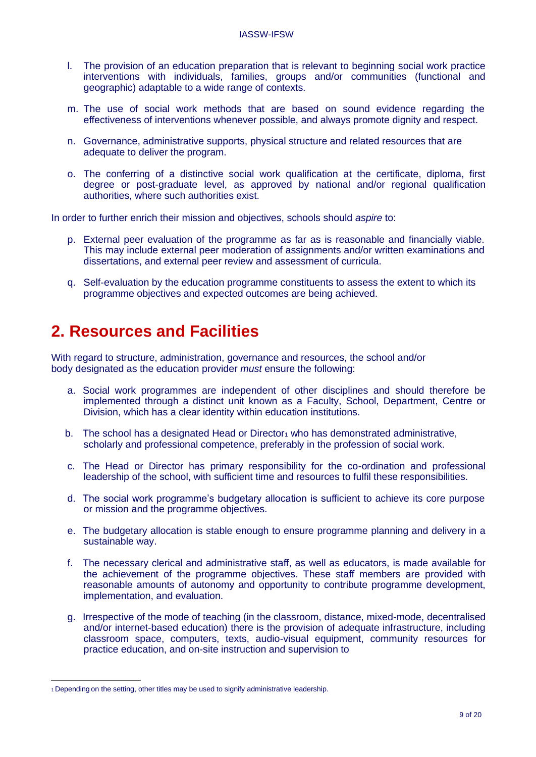- <span id="page-8-0"></span>l. The provision of an education preparation that is relevant to beginning social work practice interventions with individuals, families, groups and/or communities (functional and geographic) adaptable to a wide range of contexts.
- m. The use of social work methods that are based on sound evidence regarding the effectiveness of interventions whenever possible, and always promote dignity and respect.
- n. Governance, administrative supports, physical structure and related resources that are adequate to deliver the program.
- o. The conferring of a distinctive social work qualification at the certificate, diploma, first degree or post-graduate level, as approved by national and/or regional qualification authorities, where such authorities exist.

In order to further enrich their mission and objectives, schools should *aspire* to:

- p. External peer evaluation of the programme as far as is reasonable and financially viable. This may include external peer moderation of assignments and/or written examinations and dissertations, and external peer review and assessment of curricula.
- q. Self-evaluation by the education programme constituents to assess the extent to which its programme objectives and expected outcomes are being achieved.

### **2. Resources and Facilities**

With regard to structure, administration, governance and resources, the school and/or body designated as the education provider *must* ensure the following:

- a. Social work programmes are independent of other disciplines and should therefore be implemented through a distinct unit known as a Faculty, School, Department, Centre or Division, which has a clear identity within education institutions.
- b. The school has a designated Head o[r](#page-8-0) Director<sub>1</sub> [w](#page-8-0)ho has demonstrated administrative, scholarly and professional competence, preferably in the profession of social work.
- c. The Head or Director has primary responsibility for the co-ordination and professional leadership of the school, with sufficient time and resources to fulfil these responsibilities.
- d. The social work programme's budgetary allocation is sufficient to achieve its core purpose or mission and the programme objectives.
- e. The budgetary allocation is stable enough to ensure programme planning and delivery in a sustainable way.
- f. The necessary clerical and administrative staff, as well as educators, is made available for the achievement of the programme objectives. These staff members are provided with reasonable amounts of autonomy and opportunity to contribute programme development, implementation, and evaluation.
- g. Irrespective of the mode of teaching (in the classroom, distance, mixed-mode, decentralised and/or internet-based education) there is the provision of adequate infrastructure, including classroom space, computers, texts, audio-visual equipment, community resources for practice education, and on-site instruction and supervision to

[<sup>1</sup>](#page-8-0) Depending on the setting, other titles may be used to signify administrative leadership.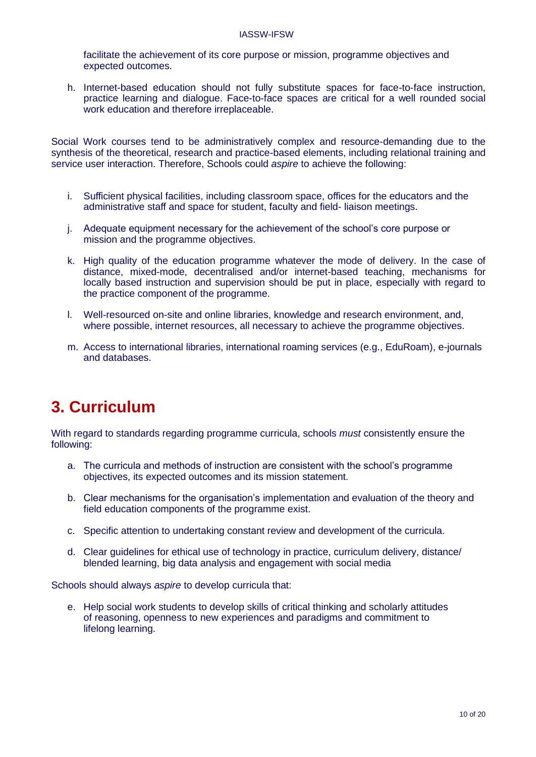<span id="page-9-0"></span>facilitate the achievement of its core purpose or mission, programme objectives and expected outcomes.

h. Internet-based education should not fully substitute spaces for face-to-face instruction, practice learning and dialogue. Face-to-face spaces are critical for a well rounded social work education and therefore irreplaceable.

Social Work courses tend to be administratively complex and resource-demanding due to the synthesis of the theoretical, research and practice-based elements, including relational training and service user interaction. Therefore, Schools could *aspire* to achieve the following:

- i. Sufficient physical facilities, including classroom space, offices for the educators and the administrative staff and space for student, faculty and field- liaison meetings.
- j. Adequate equipment necessary for the achievement of the school's core purpose or mission and the programme objectives.
- k. High quality of the education programme whatever the mode of delivery. In the case of distance, mixed-mode, decentralised and/or internet-based teaching, mechanisms for locally based instruction and supervision should be put in place, especially with regard to the practice component of the programme.
- l. Well-resourced on-site and online libraries, knowledge and research environment, and, where possible, internet resources, all necessary to achieve the programme objectives.
- m. Access to international libraries, international roaming services (e.g., EduRoam), e-journals and databases.

## **3. Curriculum**

With regard to standards regarding programme curricula, schools *must* consistently ensure the following:

- a. The curricula and methods of instruction are consistent with the school's programme objectives, its expected outcomes and its mission statement.
- b. Clear mechanisms for the organisation's implementation and evaluation of the theory and field education components of the programme exist.
- c. Specific attention to undertaking constant review and development of the curricula.
- d. Clear guidelines for ethical use of technology in practice, curriculum delivery, distance/ blended learning, big data analysis and engagement with social media

Schools should always *aspire* to develop curricula that:

e. Help social work students to develop skills of critical thinking and scholarly attitudes of reasoning, openness to new experiences and paradigms and commitment to lifelong learning.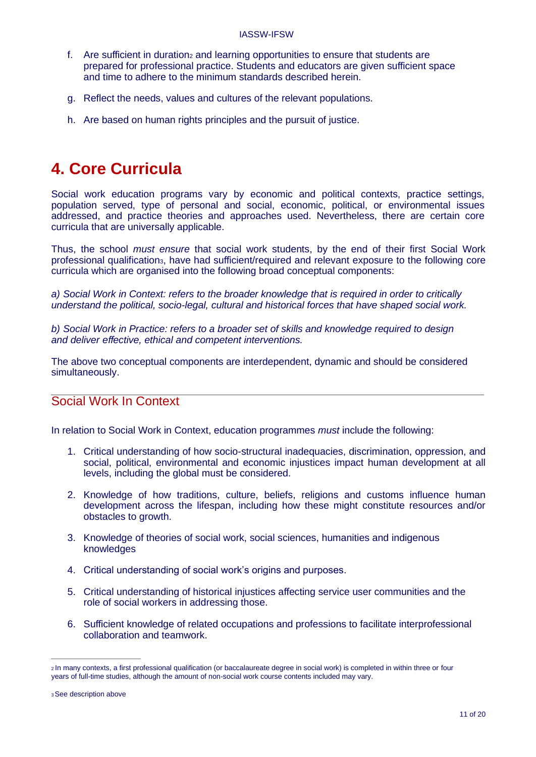- <span id="page-10-0"></span>f. Are sufficie[n](#page-10-0)t in dur[a](#page-10-0)tion<sub>2</sub> and learning opportunities to ensure that students are prepared for professional practice. Students and educators are given sufficient space and time to adhere to the minimum standards described herein.
- g. Reflect the needs, values and cultures of the relevant populations.
- h. Are based on human rights principles and the pursuit of justice.

### **4. Core Curricula**

Social work education programs vary by economic and political contexts, practice settings, population served, type of personal and social, economic, political, or environmental issues addressed, and practice theories and approaches used. Nevertheless, there are certain core curricula that are universally applicable.

Thus, the school *must ensure* that social work students, by the end of their first Social Work professional qualification<sub>3</sub>[, h](#page-10-0)ave had sufficient/required and relevant exposure to the following core curricula which are organised into the following broad conceptual components:

*a) Social Work in Context: refers to the broader knowledge that is required in order to critically understand the political, socio-legal, cultural and historical forces that have shaped social work.*

*b) Social Work in Practice: refers to a broader set of skills and knowledge required to design and deliver effective, ethical and competent interventions.*

The above two conceptual components are interdependent, dynamic and should be considered simultaneously.

#### Social Work In Context

In relation to Social Work in Context, education programmes *must* include the following:

- 1. Critical understanding of how socio-structural inadequacies, discrimination, oppression, and social, political, environmental and economic injustices impact human development at all levels, including the global must be considered.
- 2. Knowledge of how traditions, culture, beliefs, religions and customs influence human development across the lifespan, including how these might constitute resources and/or obstacles to growth.
- 3. Knowledge of theories of social work, social sciences, humanities and indigenous knowledges
- 4. Critical understanding of social work's origins and purposes.
- 5. Critical understanding of historical injustices affecting service user communities and the role of social workers in addressing those.
- 6. Sufficient knowledge of related occupations and professions to facilitate interprofessional collaboration and teamwork.

<sup>2</sup> In many contexts, a first professional qualification (or baccalaureate degree in social work) is completed in within three or four years of full-time studies, although the amount of non-social work course contents included may vary.

<sup>3</sup>See description above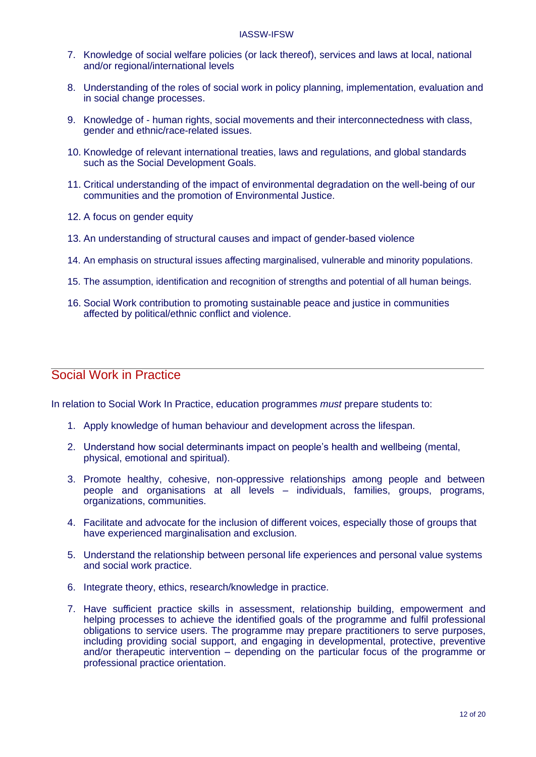- <span id="page-11-0"></span>7. Knowledge of social welfare policies (or lack thereof), services and laws at local, national and/or regional/international levels
- 8. Understanding of the roles of social work in policy planning, implementation, evaluation and in social change processes.
- 9. Knowledge of human rights, social movements and their interconnectedness with class, gender and ethnic/race-related issues.
- 10. Knowledge of relevant international treaties, laws and regulations, and global standards such as the Social Development Goals.
- 11. Critical understanding of the impact of environmental degradation on the well-being of our communities and the promotion of Environmental Justice.
- 12. A focus on gender equity
- 13. An understanding of structural causes and impact of gender-based violence
- 14. An emphasis on structural issues affecting marginalised, vulnerable and minority populations.
- 15. The assumption, identification and recognition of strengths and potential of all human beings.
- 16. Social Work contribution to promoting sustainable peace and justice in communities affected by political/ethnic conflict and violence.

#### Social Work in Practice

In relation to Social Work In Practice, education programmes *must* prepare students to:

- 1. Apply knowledge of human behaviour and development across the lifespan.
- 2. Understand how social determinants impact on people's health and wellbeing (mental, physical, emotional and spiritual).
- 3. Promote healthy, cohesive, non-oppressive relationships among people and between people and organisations at all levels – individuals, families, groups, programs, organizations, communities.
- 4. Facilitate and advocate for the inclusion of different voices, especially those of groups that have experienced marginalisation and exclusion.
- 5. Understand the relationship between personal life experiences and personal value systems and social work practice.
- 6. Integrate theory, ethics, research/knowledge in practice.
- 7. Have sufficient practice skills in assessment, relationship building, empowerment and helping processes to achieve the identified goals of the programme and fulfil professional obligations to service users. The programme may prepare practitioners to serve purposes, including providing social support, and engaging in developmental, protective, preventive and/or therapeutic intervention – depending on the particular focus of the programme or professional practice orientation.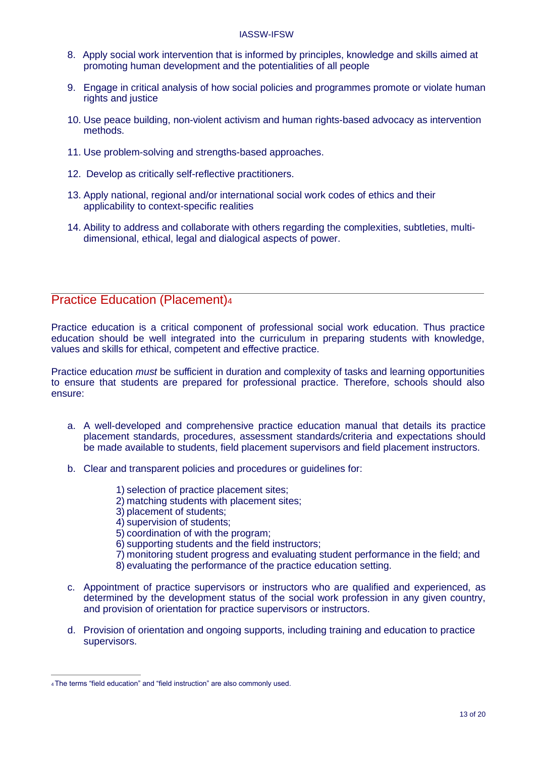- <span id="page-12-0"></span>8. Apply social work intervention that is informed by principles, knowledge and skills aimed at promoting human development and the potentialities of all people
- 9. Engage in critical analysis of how social policies and programmes promote or violate human rights and justice
- 10. Use peace building, non-violent activism and human rights-based advocacy as intervention methods.
- 11. Use problem-solving and strengths-based approaches.
- 12. Develop as critically self-reflective practitioners.
- 13. Apply national, regional and/or international social work codes of ethics and their applicability to context-specific realities
- 14. Ability to address and collaborate with others regarding the complexities, subtleties, multidimensional, ethical, legal and dialogical aspects of power.

#### Practice Education (Placement)<sup>[4](#page-12-0)</sup>

Practice education is a critical component of professional social work education. Thus practice education should be well integrated into the curriculum in preparing students with knowledge, values and skills for ethical, competent and effective practice.

Practice education *must* be sufficient in duration and complexity of tasks and learning opportunities to ensure that students are prepared for professional practice. Therefore, schools should also ensure:

- a. A well-developed and comprehensive practice education manual that details its practice placement standards, procedures, assessment standards/criteria and expectations should be made available to students, field placement supervisors and field placement instructors.
- b. Clear and transparent policies and procedures or guidelines for:
	- 1) selection of practice placement sites;
	- 2) matching students with placement sites;
	- 3) placement of students;
	- 4) supervision of students;
	- 5) coordination of with the program;
	- 6) supporting students and the field instructors;
	- 7) monitoring student progress and evaluating student performance in the field; and
	- 8) evaluating the performance of the practice education setting.
- c. Appointment of practice supervisors or instructors who are qualified and experienced, as determined by the development status of the social work profession in any given country, and provision of orientation for practice supervisors or instructors.
- d. Provision of orientation and ongoing supports, including training and education to practice supervisors.

<sup>4</sup>The terms "field education" and "field instruction" are also commonly used.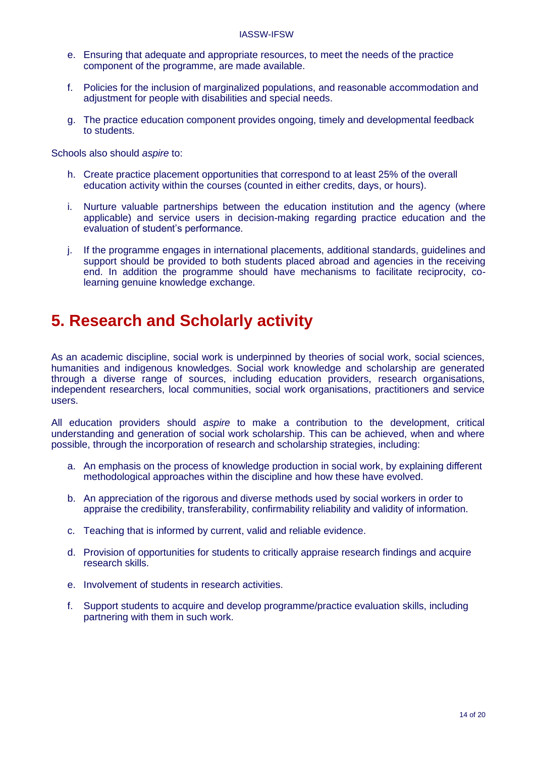- <span id="page-13-0"></span>e. Ensuring that adequate and appropriate resources, to meet the needs of the practice component of the programme, are made available.
- f. Policies for the inclusion of marginalized populations, and reasonable accommodation and adjustment for people with disabilities and special needs.
- g. The practice education component provides ongoing, timely and developmental feedback to students.

Schools also should *aspire* to:

- h. Create practice placement opportunities that correspond to at least 25% of the overall education activity within the courses (counted in either credits, days, or hours).
- i. Nurture valuable partnerships between the education institution and the agency (where applicable) and service users in decision-making regarding practice education and the evaluation of student's performance.
- j. If the programme engages in international placements, additional standards, guidelines and support should be provided to both students placed abroad and agencies in the receiving end. In addition the programme should have mechanisms to facilitate reciprocity, colearning genuine knowledge exchange.

## **5. Research and Scholarly activity**

As an academic discipline, social work is underpinned by theories of social work, social sciences, humanities and indigenous knowledges. Social work knowledge and scholarship are generated through a diverse range of sources, including education providers, research organisations, independent researchers, local communities, social work organisations, practitioners and service users.

All education providers should *aspire* to make a contribution to the development, critical understanding and generation of social work scholarship. This can be achieved, when and where possible, through the incorporation of research and scholarship strategies, including:

- a. An emphasis on the process of knowledge production in social work, by explaining different methodological approaches within the discipline and how these have evolved.
- b. An appreciation of the rigorous and diverse methods used by social workers in order to appraise the credibility, transferability, confirmability reliability and validity of information.
- c. Teaching that is informed by current, valid and reliable evidence.
- d. Provision of opportunities for students to critically appraise research findings and acquire research skills.
- e. Involvement of students in research activities.
- f. Support students to acquire and develop programme/practice evaluation skills, including partnering with them in such work.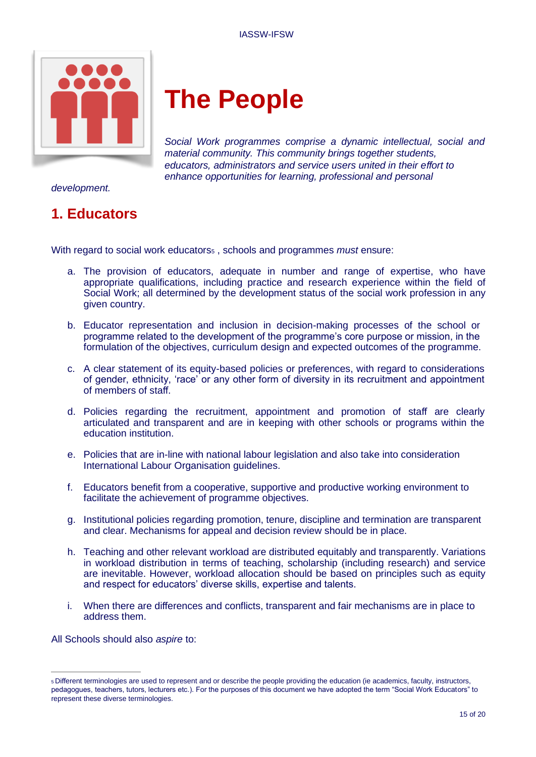<span id="page-14-0"></span>

# **The People**

*Social Work programmes comprise a dynamic intellectual, social and material community. This community brings together students, educators, administrators and service users united in their effort to enhance opportunities for learning, professional and personal*

*development.*

### **1. Educators**

With regard to social work educators<sub>5</sub>[, s](#page-14-0)chools and programmes *must* ensure:

- a. The provision of educators, adequate in number and range of expertise, who have appropriate qualifications, including practice and research experience within the field of Social Work; all determined by the development status of the social work profession in any given country.
- b. Educator representation and inclusion in decision-making processes of the school or programme related to the development of the programme's core purpose or mission, in the formulation of the objectives, curriculum design and expected outcomes of the programme.
- c. A clear statement of its equity-based policies or preferences, with regard to considerations of gender, ethnicity, 'race' or any other form of diversity in its recruitment and appointment of members of staff.
- d. Policies regarding the recruitment, appointment and promotion of staff are clearly articulated and transparent and are in keeping with other schools or programs within the education institution.
- e. Policies that are in-line with national labour legislation and also take into consideration International Labour Organisation guidelines.
- f. Educators benefit from a cooperative, supportive and productive working environment to facilitate the achievement of programme objectives.
- g. Institutional policies regarding promotion, tenure, discipline and termination are transparent and clear. Mechanisms for appeal and decision review should be in place.
- h. Teaching and other relevant workload are distributed equitably and transparently. Variations in workload distribution in terms of teaching, scholarship (including research) and service are inevitable. However, workload allocation should be based on principles such as equity and respect for educators' diverse skills, expertise and talents.
- i. When there are differences and conflicts, transparent and fair mechanisms are in place to address them.

All Schools should also *aspire* to:

<sup>5</sup> Different terminologies are used to represent and or describe the people providing the education (ie academics, faculty, instructors, pedagogues, teachers, tutors, lecturers etc.). For the purposes of this document we have adopted the term "Social Work Educators" to represent these diverse terminologies.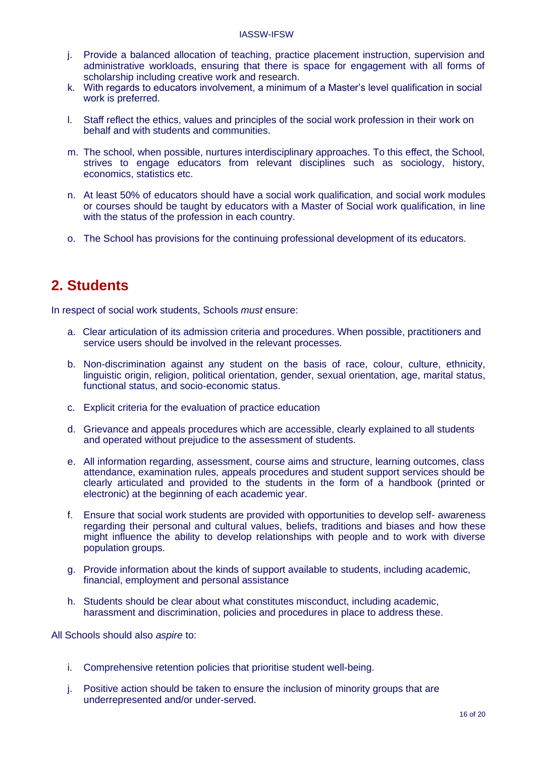- <span id="page-15-0"></span>j. Provide a balanced allocation of teaching, practice placement instruction, supervision and administrative workloads, ensuring that there is space for engagement with all forms of scholarship including creative work and research.
- k. With regards to educators involvement, a minimum of a Master's level qualification in social work is preferred.
- l. Staff reflect the ethics, values and principles of the social work profession in their work on behalf and with students and communities.
- m. The school, when possible, nurtures interdisciplinary approaches. To this effect, the School, strives to engage educators from relevant disciplines such as sociology, history, economics, statistics etc.
- n. At least 50% of educators should have a social work qualification, and social work modules or courses should be taught by educators with a Master of Social work qualification, in line with the status of the profession in each country.
- o. The School has provisions for the continuing professional development of its educators.

#### **2. Students**

In respect of social work students, Schools *must* ensure:

- a. Clear articulation of its admission criteria and procedures. When possible, practitioners and service users should be involved in the relevant processes.
- b. Non-discrimination against any student on the basis of race, colour, culture, ethnicity, linguistic origin, religion, political orientation, gender, sexual orientation, age, marital status, functional status, and socio-economic status.
- c. Explicit criteria for the evaluation of practice education
- d. Grievance and appeals procedures which are accessible, clearly explained to all students and operated without prejudice to the assessment of students.
- e. All information regarding, assessment, course aims and structure, learning outcomes, class attendance, examination rules, appeals procedures and student support services should be clearly articulated and provided to the students in the form of a handbook (printed or electronic) at the beginning of each academic year.
- f. Ensure that social work students are provided with opportunities to develop self- awareness regarding their personal and cultural values, beliefs, traditions and biases and how these might influence the ability to develop relationships with people and to work with diverse population groups.
- g. Provide information about the kinds of support available to students, including academic, financial, employment and personal assistance
- h. Students should be clear about what constitutes misconduct, including academic, harassment and discrimination, policies and procedures in place to address these.

All Schools should also *aspire* to:

- i. Comprehensive retention policies that prioritise student well-being.
- j. Positive action should be taken to ensure the inclusion of minority groups that are underrepresented and/or under-served.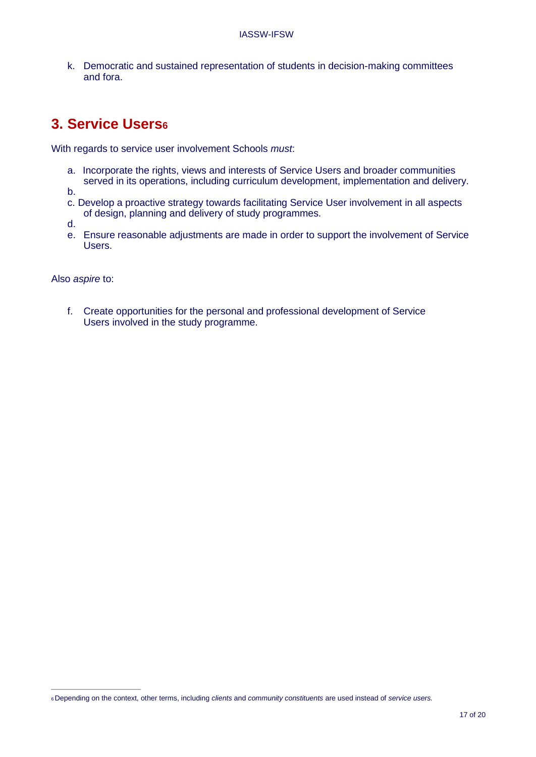<span id="page-16-0"></span>k. Democratic and sustained representation of students in decision-making committees and fora.

### **3. Service Users[6](#page-16-0)**

With regards to service user involvement Schools *must*:

a. Incorporate the rights, views and interests of Service Users and broader communities served in its operations, including curriculum development, implementation and delivery.

b.

c. Develop a proactive strategy towards facilitating Service User involvement in all aspects of design, planning and delivery of study programmes.

d.

e. Ensure reasonable adjustments are made in order to support the involvement of Service Users.

Also *aspire* to:

f. Create opportunities for the personal and professional development of Service Users involved in the study programme.

<sup>6</sup> Depending on the context, other terms, including *clients* and *community constituents* are used instead of *service users.*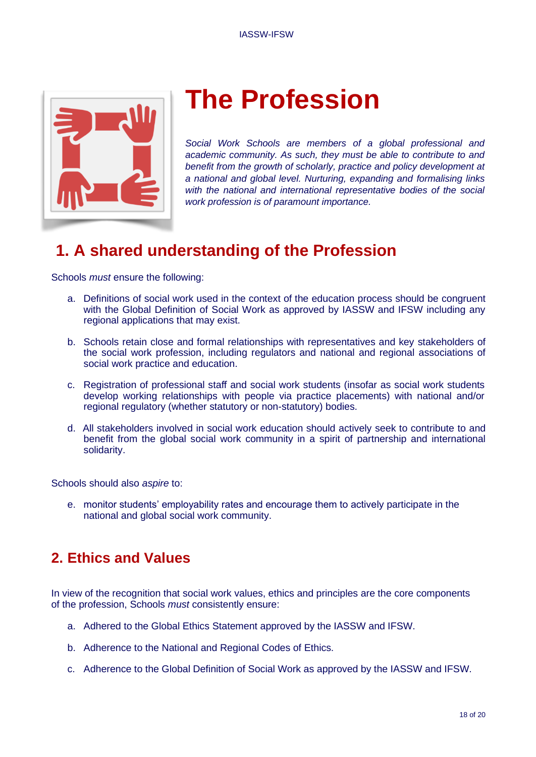<span id="page-17-0"></span>

# **The Profession**

*Social Work Schools are members of a global professional and academic community. As such, they must be able to contribute to and benefit from the growth of scholarly, practice and policy development at a national and global level. Nurturing, expanding and formalising links with the national and international representative bodies of the social work profession is of paramount importance.*

## **1. A shared understanding of the Profession**

Schools *must* ensure the following:

- a. Definitions of social work used in the context of the education process should be congruent with the Global Definition of Social Work as approved by IASSW and IFSW including any regional applications that may exist.
- b. Schools retain close and formal relationships with representatives and key stakeholders of the social work profession, including regulators and national and regional associations of social work practice and education.
- c. Registration of professional staff and social work students (insofar as social work students develop working relationships with people via practice placements) with national and/or regional regulatory (whether statutory or non-statutory) bodies.
- d. All stakeholders involved in social work education should actively seek to contribute to and benefit from the global social work community in a spirit of partnership and international solidarity.

Schools should also *aspire* to:

e. monitor students' employability rates and encourage them to actively participate in the national and global social work community.

### **2. Ethics and Values**

In view of the recognition that social work values, ethics and principles are the core components of the profession, Schools *must* consistently ensure:

- a. Adhered to the Global Ethics Statement approved by the IASSW and IFSW.
- b. Adherence to the National and Regional Codes of Ethics.
- c. Adherence to the Global Definition of Social Work as approved by the IASSW and IFSW.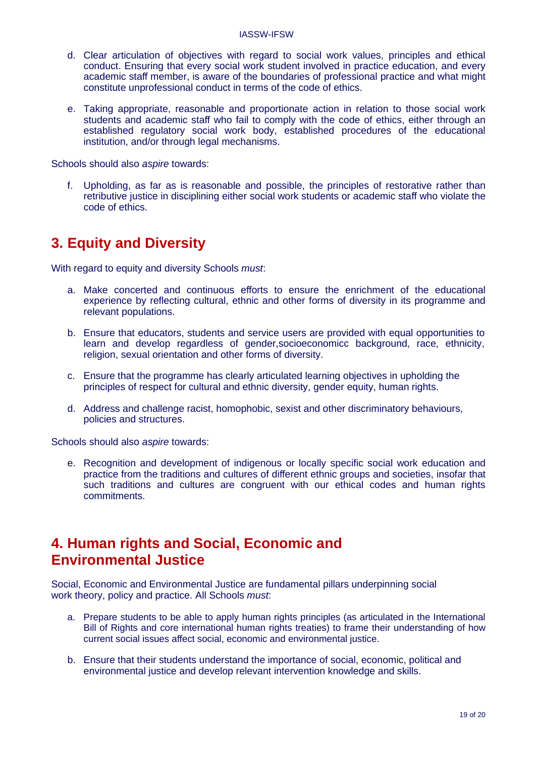- <span id="page-18-0"></span>d. Clear articulation of objectives with regard to social work values, principles and ethical conduct. Ensuring that every social work student involved in practice education, and every academic staff member, is aware of the boundaries of professional practice and what might constitute unprofessional conduct in terms of the code of ethics.
- e. Taking appropriate, reasonable and proportionate action in relation to those social work students and academic staff who fail to comply with the code of ethics, either through an established regulatory social work body, established procedures of the educational institution, and/or through legal mechanisms.

Schools should also *aspire* towards:

f. Upholding, as far as is reasonable and possible, the principles of restorative rather than retributive justice in disciplining either social work students or academic staff who violate the code of ethics.

#### **3. Equity and Diversity**

With regard to equity and diversity Schools *must*:

- a. Make concerted and continuous efforts to ensure the enrichment of the educational experience by reflecting cultural, ethnic and other forms of diversity in its programme and relevant populations.
- b. Ensure that educators, students and service users are provided with equal opportunities to learn and develop regardless of gender,socioeconomicc background, race, ethnicity, religion, sexual orientation and other forms of diversity.
- c. Ensure that the programme has clearly articulated learning objectives in upholding the principles of respect for cultural and ethnic diversity, gender equity, human rights.
- d. Address and challenge racist, homophobic, sexist and other discriminatory behaviours, policies and structures.

Schools should also *aspire* towards:

e. Recognition and development of indigenous or locally specific social work education and practice from the traditions and cultures of different ethnic groups and societies, insofar that such traditions and cultures are congruent with our ethical codes and human rights commitments.

#### **4. Human rights and Social, Economic and Environmental Justice**

Social, Economic and Environmental Justice are fundamental pillars underpinning social work theory, policy and practice. All Schools *must*:

- a. Prepare students to be able to apply human rights principles (as articulated in the International Bill of Rights and core international human rights treaties) to frame their understanding of how current social issues affect social, economic and environmental justice.
- b. Ensure that their students understand the importance of social, economic, political and environmental justice and develop relevant intervention knowledge and skills.